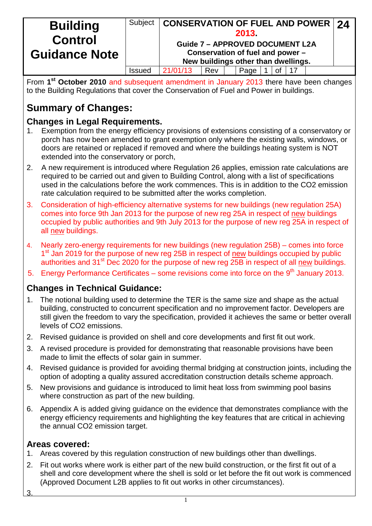| <b>Building</b><br><b>Control</b><br><b>Guidance Note</b> | Subject       | <b>CONSERVATION OF FUEL AND POWER 24</b><br><b>Guide 7 - APPROVED DOCUMENT L2A</b> |     | 2013<br>Conservation of fuel and power -<br>New buildings other than dwellings. |    |  |  |
|-----------------------------------------------------------|---------------|------------------------------------------------------------------------------------|-----|---------------------------------------------------------------------------------|----|--|--|
|                                                           | <b>Issued</b> | 21/01/13                                                                           | Rev | Page                                                                            | 0f |  |  |

From **1st October 2010** and subsequent amendment in January 2013 there have been changes to the Building Regulations that cover the Conservation of Fuel and Power in buildings.

# **Summary of Changes:**

## **Changes in Legal Requirements.**

- 1. Exemption from the energy efficiency provisions of extensions consisting of a conservatory or porch has now been amended to grant exemption only where the existing walls, windows, or doors are retained or replaced if removed and where the buildings heating system is NOT extended into the conservatory or porch,
- 2. A new requirement is introduced where Regulation 26 applies, emission rate calculations are required to be carried out and given to Building Control, along with a list of specifications used in the calculations before the work commences. This is in addition to the CO2 emission rate calculation required to be submitted after the works completion.
- 3. Consideration of high-efficiency alternative systems for new buildings (new regulation 25A) comes into force 9th Jan 2013 for the purpose of new reg 25A in respect of new buildings occupied by public authorities and 9th July 2013 for the purpose of new reg 25A in respect of all new buildings.
- 4. Nearly zero-energy requirements for new buildings (new regulation 25B) comes into force 1<sup>st</sup> Jan 2019 for the purpose of new reg 25B in respect of new buildings occupied by public authorities and 31<sup>st</sup> Dec 2020 for the purpose of new reg 25B in respect of all new buildings.
- 5. Energy Performance Certificates some revisions come into force on the  $9<sup>th</sup>$  January 2013.

## **Changes in Technical Guidance:**

- 1. The notional building used to determine the TER is the same size and shape as the actual building, constructed to concurrent specification and no improvement factor. Developers are still given the freedom to vary the specification, provided it achieves the same or better overall levels of CO2 emissions.
- 2. Revised guidance is provided on shell and core developments and first fit out work.
- 3. A revised procedure is provided for demonstrating that reasonable provisions have been made to limit the effects of solar gain in summer.
- 4. Revised guidance is provided for avoiding thermal bridging at construction joints, including the option of adopting a quality assured accreditation construction details scheme approach.
- 5. New provisions and guidance is introduced to limit heat loss from swimming pool basins where construction as part of the new building.
- 6. Appendix A is added giving guidance on the evidence that demonstrates compliance with the energy efficiency requirements and highlighting the key features that are critical in achieving the annual CO2 emission target.

### **Areas covered:**

- 1. Areas covered by this regulation construction of new buildings other than dwellings.
- 2. Fit out works where work is either part of the new build construction, or the first fit out of a shell and core development where the shell is sold or let before the fit out work is commenced (Approved Document L2B applies to fit out works in other circumstances).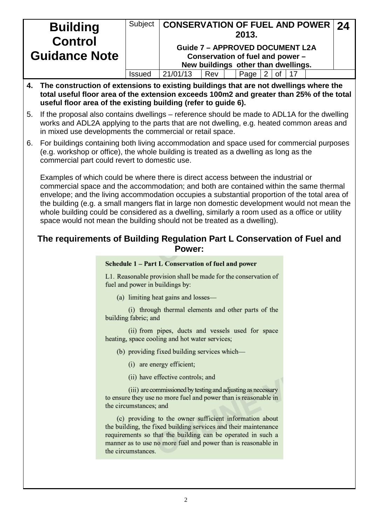|    | <b>Building</b><br><b>Control</b>                                                                                                                                                                                                                      | Subject       | <b>CONSERVATION OF FUEL AND POWER</b>                                                                             |  |  | 2013. |  |  |  |  | 24 |
|----|--------------------------------------------------------------------------------------------------------------------------------------------------------------------------------------------------------------------------------------------------------|---------------|-------------------------------------------------------------------------------------------------------------------|--|--|-------|--|--|--|--|----|
|    | <b>Guidance Note</b>                                                                                                                                                                                                                                   |               | <b>Guide 7 - APPROVED DOCUMENT L2A</b><br>Conservation of fuel and power -<br>New buildings other than dwellings. |  |  |       |  |  |  |  |    |
|    |                                                                                                                                                                                                                                                        | <b>Issued</b> | 21/01/13<br>Rev<br>Page I<br>Ωt                                                                                   |  |  |       |  |  |  |  |    |
|    | 4. The construction of extensions to existing buildings that are not dwellings where the<br>total useful floor area of the extension exceeds 100m2 and greater than 25% of the total<br>useful floor area of the existing building (refer to quide 6). |               |                                                                                                                   |  |  |       |  |  |  |  |    |
| 5. | If the proposal also contains dwellings – reference should be made to ADL1A for the dwelling<br>works and ADL2A applying to the parts that are not dwelling, e.g. heated common areas and<br>in mixed use developments the commercial or retail space. |               |                                                                                                                   |  |  |       |  |  |  |  |    |
| 6. | For buildings containing both living accommodation and space used for commercial purposes<br>(e.g. workshop or office), the whole building is treated as a dwelling as long as the<br>commercial part could revert to domestic use.                    |               |                                                                                                                   |  |  |       |  |  |  |  |    |

Examples of which could be where there is direct access between the industrial or commercial space and the accommodation; and both are contained within the same thermal envelope; and the living accommodation occupies a substantial proportion of the total area of the building (e.g. a small mangers flat in large non domestic development would not mean the whole building could be considered as a dwelling, similarly a room used as a office or utility space would not mean the building should not be treated as a dwelling).

#### **The requirements of Building Regulation Part L Conservation of Fuel and Power:**

#### Schedule 1 - Part L Conservation of fuel and power

L1. Reasonable provision shall be made for the conservation of fuel and power in buildings by:

(a) limiting heat gains and losses—

(i) through thermal elements and other parts of the building fabric; and

(ii) from pipes, ducts and vessels used for space heating, space cooling and hot water services;

(b) providing fixed building services which-

(i) are energy efficient;

(ii) have effective controls; and

(iii) are commissioned by testing and adjusting as necessary to ensure they use no more fuel and power than is reasonable in the circumstances; and

(c) providing to the owner sufficient information about the building, the fixed building services and their maintenance requirements so that the building can be operated in such a manner as to use no more fuel and power than is reasonable in the circumstances.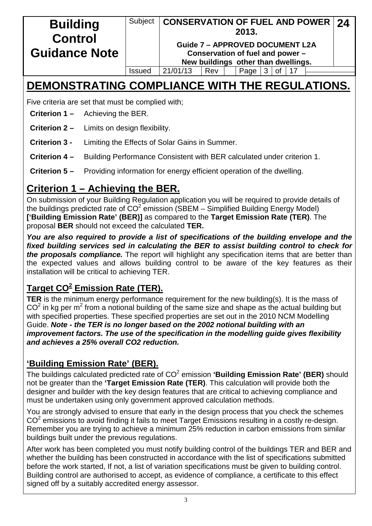#### **Building Control Guidance Note** Subject **CONSERVATION OF FUEL AND POWER 2013. Guide 7 – APPROVED DOCUMENT L2A Conservation of fuel and power – New buildings other than dwellings. 24**  $Is sued \ |21/01/13 \ | Rev \ | \ | Page \ |3 \ |of \ |17$

# **DEMONSTRATING COMPLIANCE WITH THE REGULATIONS.**

Five criteria are set that must be complied with;

- **Criterion 1 –** Achieving the BER.
- **Criterion 2 –** Limits on design flexibility.
- **Criterion 3** Limiting the Effects of Solar Gains in Summer.
- **Criterion 4 –** Building Performance Consistent with BER calculated under criterion 1.
- **Criterion 5 –** Providing information for energy efficient operation of the dwelling.

# **Criterion 1 – Achieving the BER.**

On submission of your Building Regulation application you will be required to provide details of the buildings predicted rate of  $CO^2$  emission (SBEM – Simplified Building Energy Model) **['Building Emission Rate' (BER)]** as compared to the **Target Emission Rate (TER)**. The proposal **BER** should not exceed the calculated **TER.**

*You are also required to provide a list of specifications of the building envelope and the fixed building services sed in calculating the BER to assist building control to check for the proposals compliance.* The report will highlight any specification items that are better than the expected values and allows building control to be aware of the key features as their installation will be critical to achieving TER.

# **Target CO<sup>2</sup> Emission Rate (TER).**

**TER** is the minimum energy performance requirement for the new building(s). It is the mass of  $CO<sup>2</sup>$  in kg per m<sup>2</sup> from a notional building of the same size and shape as the actual building but with specified properties. These specified properties are set out in the 2010 NCM Modelling Guide. *Note - the TER is no longer based on the 2002 notional building with an improvement factors. The use of the specification in the modelling guide gives flexibility and achieves a 25% overall CO2 reduction.*

## **'Building Emission Rate' (BER).**

The buildings calculated predicted rate of CO2 emission **'Building Emission Rate' (BER)** should not be greater than the **'Target Emission Rate (TER)**. This calculation will provide both the designer and builder with the key design features that are critical to achieving compliance and must be undertaken using only government approved calculation methods.

You are strongly advised to ensure that early in the design process that you check the schemes  $CO<sup>2</sup>$  emissions to avoid finding it fails to meet Target Emissions resulting in a costly re-design. Remember you are trying to achieve a minimum 25% reduction in carbon emissions from similar buildings built under the previous regulations.

After work has been completed you must notify building control of the buildings TER and BER and whether the building has been constructed in accordance with the list of specifications submitted before the work started, If not, a list of variation specifications must be given to building control. Building control are authorised to accept, as evidence of compliance, a certificate to this effect signed off by a suitably accredited energy assessor.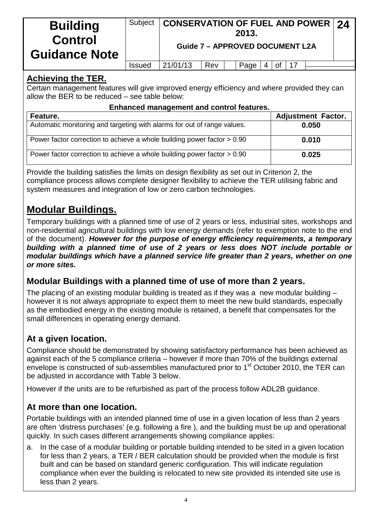| <b>Building</b><br><b>Control</b><br><b>Guidance Note</b> | Subject       | CONSERVATION OF FUEL AND POWER   24<br><b>Guide 7 - APPROVED DOCUMENT L2A</b> |     | 2013. |                       |  |  |
|-----------------------------------------------------------|---------------|-------------------------------------------------------------------------------|-----|-------|-----------------------|--|--|
|                                                           | <b>Issued</b> | 21/01/13                                                                      | Rev | Page  | $4 \mid$ of $\mid$ 17 |  |  |

#### **Achieving the TER.**

Certain management features will give improved energy efficiency and where provided they can allow the BER to be reduced – see table below:

#### **Enhanced management and control features.**

| Feature.                                                                  | <b>Adjustment Factor.</b> |
|---------------------------------------------------------------------------|---------------------------|
| Automatic monitoring and targeting with alarms for out of range values.   | 0.050                     |
| Power factor correction to achieve a whole building power factor $> 0.90$ | 0.010                     |
| Power factor correction to achieve a whole building power factor > 0.90   | 0.025                     |

Provide the building satisfies the limits on design flexibility as set out in Criterion 2, the compliance process allows complete designer flexibility to achieve the TER utilising fabric and system measures and integration of low or zero carbon technologies.

# **Modular Buildings.**

Temporary buildings with a planned time of use of 2 years or less, industrial sites, workshops and non-residential agricultural buildings with low energy demands (refer to exemption note to the end of the document). *However for the purpose of energy efficiency requirements, a temporary building with a planned time of use of 2 years or less does NOT include portable or modular buildings which have a planned service life greater than 2 years, whether on one or more sites.*

### **Modular Buildings with a planned time of use of more than 2 years.**

The placing of an existing modular building is treated as if they was a new modular building – however it is not always appropriate to expect them to meet the new build standards, especially as the embodied energy in the existing module is retained, a benefit that compensates for the small differences in operating energy demand.

## **At a given location.**

Compliance should be demonstrated by showing satisfactory performance has been achieved as against each of the 5 compliance criteria – however if more than 70% of the buildings external envelope is constructed of sub-assemblies manufactured prior to 1<sup>st</sup> October 2010, the TER can be adjusted in accordance with Table 3 below.

However if the units are to be refurbished as part of the process follow ADL2B guidance.

### **At more than one location.**

Portable buildings with an intended planned time of use in a given location of less than 2 years are often 'distress purchases' (e.g. following a fire ), and the building must be up and operational quickly. In such cases different arrangements showing compliance applies:

a. In the case of a modular building or portable building intended to be sited in a given location for less than 2 years, a TER / BER calculation should be provided when the module is first built and can be based on standard generic configuration. This will indicate regulation compliance when ever the building is relocated to new site provided its intended site use is less than 2 years.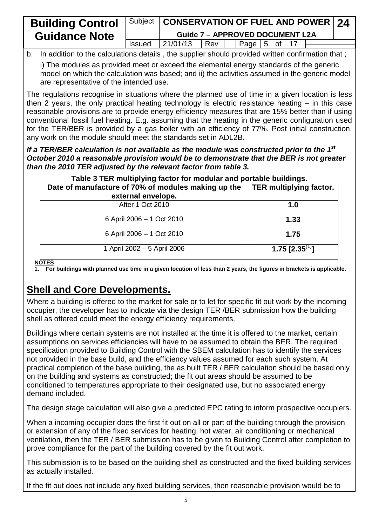| <b>Building Control</b> |               | Subject   CONSERVATION OF FUEL AND POWER   24 |     |                           |  |  |  |
|-------------------------|---------------|-----------------------------------------------|-----|---------------------------|--|--|--|
| <b>Guidance Note</b>    |               | <b>Guide 7 - APPROVED DOCUMENT L2A</b>        |     |                           |  |  |  |
|                         | <b>Issued</b> | 21/01/13                                      | Rev | $\mid$ Page   5   of   17 |  |  |  |
|                         |               |                                               |     |                           |  |  |  |

b. In addition to the calculations details , the supplier should provided written confirmation that ;

i) The modules as provided meet or exceed the elemental energy standards of the generic model on which the calculation was based; and ii) the activities assumed in the generic model are representative of the intended use.

The regulations recognise in situations where the planned use of time in a given location is less then 2 years, the only practical heating technology is electric resistance heating – in this case reasonable provisions are to provide energy efficiency measures that are 15% better than if using conventional fossil fuel heating. E.g. assuming that the heating in the generic configuration used for the TER/BER is provided by a gas boiler with an efficiency of 77%. Post initial construction, any work on the module should meet the standards set in ADL2B.

*If a TER/BER calculation is not available as the module was constructed prior to the 1st October 2010 a reasonable provision would be to demonstrate that the BER is not greater than the 2010 TER adjusted by the relevant factor from table 3.*

| Table 3 TER multiplying factor for modular and portable buildings. |                                |
|--------------------------------------------------------------------|--------------------------------|
| Date of manufacture of 70% of modules making up the                | <b>TER multiplying factor.</b> |
| external envelope.                                                 |                                |
| After 1 Oct 2010                                                   | 1.0                            |
| 6 April 2006 - 1 Oct 2010                                          | 1.33                           |
| 6 April 2006 - 1 Oct 2010                                          | 1.75                           |
| 1 April 2002 - 5 April 2006<br>$- - - -$                           | 1.75 [2.35 <sup>(1)</sup> ]    |

**NOTES**

1. **For buildings with planned use time in a given location of less than 2 years, the figures in brackets is applicable.**

# **Shell and Core Developments.**

Where a building is offered to the market for sale or to let for specific fit out work by the incoming occupier, the developer has to indicate via the design TER /BER submission how the building shell as offered could meet the energy efficiency requirements.

Buildings where certain systems are not installed at the time it is offered to the market, certain assumptions on services efficiencies will have to be assumed to obtain the BER. The required specification provided to Building Control with the SBEM calculation has to identify the services not provided in the base build, and the efficiency values assumed for each such system. At practical completion of the base building, the as built TER / BER calculation should be based only on the building and systems as constructed; the fit out areas should be assumed to be conditioned to temperatures appropriate to their designated use, but no associated energy demand included.

The design stage calculation will also give a predicted EPC rating to inform prospective occupiers.

When a incoming occupier does the first fit out on all or part of the building through the provision or extension of any of the fixed services for heating, hot water, air conditioning or mechanical ventilation, then the TER / BER submission has to be given to Building Control after completion to prove compliance for the part of the building covered by the fit out work.

This submission is to be based on the building shell as constructed and the fixed building services as actually installed.

If the fit out does not include any fixed building services, then reasonable provision would be to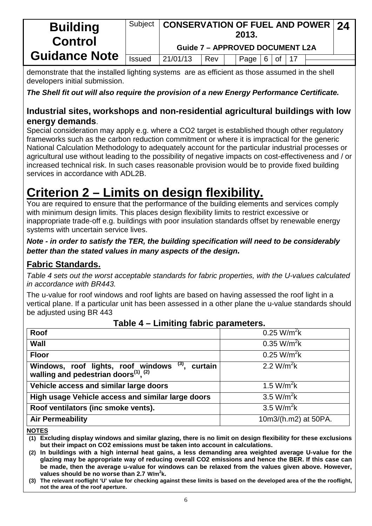| <b>Building</b><br><b>Control</b> | <b>CONSERVATION OF FUEL AND POWER 24</b><br>Subject<br>2013. |                                        |     |  |                                           |  |  |  |  |  |
|-----------------------------------|--------------------------------------------------------------|----------------------------------------|-----|--|-------------------------------------------|--|--|--|--|--|
|                                   |                                                              | <b>Guide 7 - APPROVED DOCUMENT L2A</b> |     |  |                                           |  |  |  |  |  |
| <b>Guidance Note</b>              | <b>Issued</b>                                                | 21/01/13                               | Rev |  | $\sqrt{q}$ Page $\sqrt{6}$ of $\sqrt{17}$ |  |  |  |  |  |

demonstrate that the installed lighting systems are as efficient as those assumed in the shell developers initial submission.

*The Shell fit out will also require the provision of a new Energy Performance Certificate.*

#### **Industrial sites, workshops and non-residential agricultural buildings with low energy demands**.

Special consideration may apply e.g. where a CO2 target is established though other regulatory frameworks such as the carbon reduction commitment or where it is impractical for the generic National Calculation Methodology to adequately account for the particular industrial processes or agricultural use without leading to the possibility of negative impacts on cost-effectiveness and / or increased technical risk. In such cases reasonable provision would be to provide fixed building services in accordance with ADI 2B.

# **Criterion 2 – Limits on design flexibility.**

You are required to ensure that the performance of the building elements and services comply with minimum design limits. This places design flexibility limits to restrict excessive or inappropriate trade-off e.g. buildings with poor insulation standards offset by renewable energy systems with uncertain service lives.

*Note - in order to satisfy the TER, the building specification will need to be considerably better than the stated values in many aspects of the design.*

### **Fabric Standards.**

*Table 4 sets out the worst acceptable standards for fabric properties, with the U-values calculated in accordance with BR443.*

The u-value for roof windows and roof lights are based on having assessed the roof light in a vertical plane. If a particular unit has been assessed in a other plane the u-value standards should be adjusted using BR 443

| 1.441                                                                                                     |                         |
|-----------------------------------------------------------------------------------------------------------|-------------------------|
| Roof                                                                                                      | $0.25 W/m^2k$           |
| Wall                                                                                                      | 0.35 W/m <sup>2</sup> k |
| <b>Floor</b>                                                                                              | $0.25 W/m^2k$           |
| Windows, roof lights, roof windows $(3)$ , walling and pedestrian doors <sup>(1)</sup> , $(2)$<br>curtain | 2.2 W/m <sup>2</sup> k  |
| Vehicle access and similar large doors                                                                    | 1.5 W/m <sup>2</sup> k  |
| High usage Vehicle access and similar large doors                                                         | 3.5 W/m <sup>2</sup> k  |
| Roof ventilators (inc smoke vents).                                                                       | 3.5 W/m <sup>2</sup> k  |
| <b>Air Permeability</b>                                                                                   | 10m3/(h.m2) at 50PA.    |

#### **Table 4 – Limiting fabric parameters.**

**NOTES**

**(1) Excluding display windows and similar glazing, there is no limit on design flexibility for these exclusions but their impact on CO2 emissions must be taken into account in calculations.**

**(2) In buildings with a high internal heat gains, a less demanding area weighted average U-value for the glazing may be appropriate way of reducing overall CO2 emissions and hence the BER. If this case can be made, then the average u-value for windows can be relaxed from the values given above. However, values should be no worse than 2.7 W/m<sup>2</sup> k.**

**(3) The relevant rooflight 'U' value for checking against these limits is based on the developed area of the the rooflight, not the area of the roof aperture.**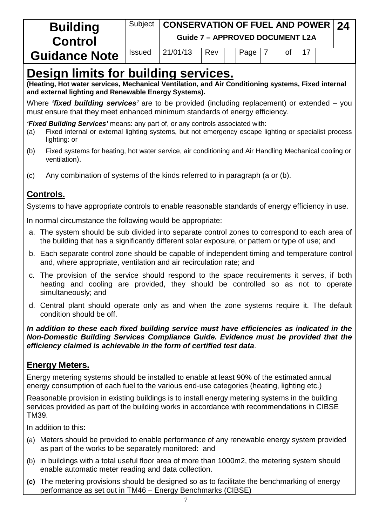| <b>Control</b>                                                         | CONSERVATION OF FUEL AND POWER $\sqrt{24}$<br><b>Guide 7 - APPROVED DOCUMENT L2A</b> |  |  |  |  |     |  |  |  |  |
|------------------------------------------------------------------------|--------------------------------------------------------------------------------------|--|--|--|--|-----|--|--|--|--|
| 21/01/13<br>Rev<br>Page<br><b>Issued</b><br>οf<br><b>Guidance Note</b> |                                                                                      |  |  |  |  | -17 |  |  |  |  |

# **Design limits for building services.**

**(Heating, Hot water services, Mechanical Ventilation, and Air Conditioning systems, Fixed internal and external lighting and Renewable Energy Systems).**

Where *'fixed building services'* are to be provided (including replacement) or extended – you must ensure that they meet enhanced minimum standards of energy efficiency.

*'Fixed Building Services'* means: any part of, or any controls associated with:

- (a) Fixed internal or external lighting systems, but not emergency escape lighting or specialist process lighting: or
- (b) Fixed systems for heating, hot water service, air conditioning and Air Handling Mechanical cooling or ventilation).
- (c) Any combination of systems of the kinds referred to in paragraph (a or (b).

## **Controls.**

Systems to have appropriate controls to enable reasonable standards of energy efficiency in use.

In normal circumstance the following would be appropriate:

- a. The system should be sub divided into separate control zones to correspond to each area of the building that has a significantly different solar exposure, or pattern or type of use; and
- b. Each separate control zone should be capable of independent timing and temperature control and, where appropriate, ventilation and air recirculation rate; and
- c. The provision of the service should respond to the space requirements it serves, if both heating and cooling are provided, they should be controlled so as not to operate simultaneously; and
- d. Central plant should operate only as and when the zone systems require it. The default condition should be off.

*In addition to these each fixed building service must have efficiencies as indicated in the Non-Domestic Building Services Compliance Guide. Evidence must be provided that the efficiency claimed is achievable in the form of certified test data*.

#### **Energy Meters.**

Energy metering systems should be installed to enable at least 90% of the estimated annual energy consumption of each fuel to the various end-use categories (heating, lighting etc.)

Reasonable provision in existing buildings is to install energy metering systems in the building services provided as part of the building works in accordance with recommendations in CIBSE TM39.

In addition to this:

- (a) Meters should be provided to enable performance of any renewable energy system provided as part of the works to be separately monitored: and
- (b) in buildings with a total useful floor area of more than 1000m2, the metering system should enable automatic meter reading and data collection.
- **(c)** The metering provisions should be designed so as to facilitate the benchmarking of energy performance as set out in TM46 – Energy Benchmarks (CIBSE)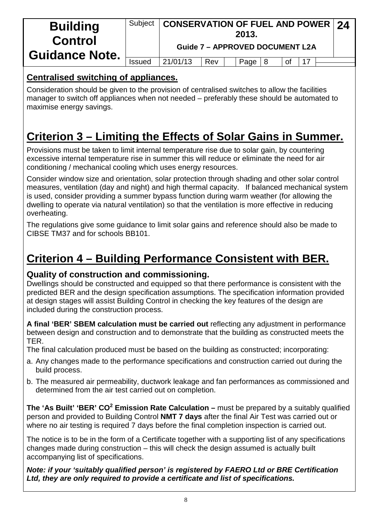| <b>Building</b><br><b>Control</b><br><b>Guidance Note.</b> |               | Subject   CONSERVATION OF FUEL AND POWER   24 |     | 2013.<br><b>Guide 7 - APPROVED DOCUMENT L2A</b> |    |  |  |
|------------------------------------------------------------|---------------|-----------------------------------------------|-----|-------------------------------------------------|----|--|--|
|                                                            | <b>Issued</b> | 21/01/13                                      | Rev | Page $ 8$                                       | 0f |  |  |

#### **Centralised switching of appliances.**

Consideration should be given to the provision of centralised switches to allow the facilities manager to switch off appliances when not needed – preferably these should be automated to maximise energy savings.

# **Criterion 3 – Limiting the Effects of Solar Gains in Summer.**

Provisions must be taken to limit internal temperature rise due to solar gain, by countering excessive internal temperature rise in summer this will reduce or eliminate the need for air conditioning / mechanical cooling which uses energy resources.

Consider window size and orientation, solar protection through shading and other solar control measures, ventilation (day and night) and high thermal capacity. If balanced mechanical system is used, consider providing a summer bypass function during warm weather (for allowing the dwelling to operate via natural ventilation) so that the ventilation is more effective in reducing overheating.

The regulations give some guidance to limit solar gains and reference should also be made to CIBSE TM37 and for schools BB101.

# **Criterion 4 – Building Performance Consistent with BER.**

#### **Quality of construction and commissioning.**

Dwellings should be constructed and equipped so that there performance is consistent with the predicted BER and the design specification assumptions. The specification information provided at design stages will assist Building Control in checking the key features of the design are included during the construction process.

**A final 'BER' SBEM calculation must be carried out** reflecting any adjustment in performance between design and construction and to demonstrate that the building as constructed meets the TER.

The final calculation produced must be based on the building as constructed; incorporating:

- a. Any changes made to the performance specifications and construction carried out during the build process.
- b. The measured air permeability, ductwork leakage and fan performances as commissioned and determined from the air test carried out on completion.

**The 'As Built' 'BER' CO<sup>2</sup> Emission Rate Calculation –** must be prepared by a suitably qualified person and provided to Building Control **NMT 7 days** after the final Air Test was carried out or where no air testing is required 7 days before the final completion inspection is carried out.

The notice is to be in the form of a Certificate together with a supporting list of any specifications changes made during construction – this will check the design assumed is actually built accompanying list of specifications.

*Note: if your 'suitably qualified person' is registered by FAERO Ltd or BRE Certification Ltd, they are only required to provide a certificate and list of specifications.*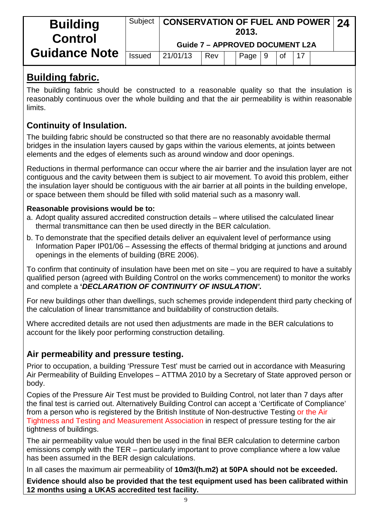| <b>Building</b><br><b>Control</b> | Subject       | <b>CONSERVATION OF FUEL AND POWER 24</b> |     | 2013. |    |           |    |  |
|-----------------------------------|---------------|------------------------------------------|-----|-------|----|-----------|----|--|
|                                   |               | <b>Guide 7 - APPROVED DOCUMENT L2A</b>   |     |       |    |           |    |  |
| <b>Guidance Note</b>              | <b>Issued</b> | 21/01/13                                 | Rev | Page  | -9 | <b>of</b> | 17 |  |

## **Building fabric.**

The building fabric should be constructed to a reasonable quality so that the insulation is reasonably continuous over the whole building and that the air permeability is within reasonable **limits** 

### **Continuity of Insulation.**

The building fabric should be constructed so that there are no reasonably avoidable thermal bridges in the insulation layers caused by gaps within the various elements, at joints between elements and the edges of elements such as around window and door openings.

Reductions in thermal performance can occur where the air barrier and the insulation layer are not contiguous and the cavity between them is subject to air movement. To avoid this problem, either the insulation layer should be contiguous with the air barrier at all points in the building envelope, or space between them should be filled with solid material such as a masonry wall.

#### **Reasonable provisions would be to:**

- a. Adopt quality assured accredited construction details where utilised the calculated linear thermal transmittance can then be used directly in the BER calculation.
- b. To demonstrate that the specified details deliver an equivalent level of performance using Information Paper IP01/06 – Assessing the effects of thermal bridging at junctions and around openings in the elements of building (BRE 2006).

To confirm that continuity of insulation have been met on site – you are required to have a suitably qualified person (agreed with Building Control on the works commencement) to monitor the works and complete a **'***DECLARATION OF CONTINUITY OF INSULATION'.*

For new buildings other than dwellings, such schemes provide independent third party checking of the calculation of linear transmittance and buildability of construction details.

Where accredited details are not used then adjustments are made in the BER calculations to account for the likely poor performing construction detailing.

### **Air permeability and pressure testing.**

Prior to occupation, a building 'Pressure Test' must be carried out in accordance with Measuring Air Permeability of Building Envelopes – ATTMA 2010 by a Secretary of State approved person or body.

Copies of the Pressure Air Test must be provided to Building Control, not later than 7 days after the final test is carried out. Alternatively Building Control can accept a 'Certificate of Compliance' from a person who is registered by the British Institute of Non-destructive Testing or the Air Tightness and Testing and Measurement Association in respect of pressure testing for the air tightness of buildings.

The air permeability value would then be used in the final BER calculation to determine carbon emissions comply with the TER – particularly important to prove compliance where a low value has been assumed in the BER design calculations.

In all cases the maximum air permeability of **10m3/(h.m2) at 50PA should not be exceeded.**

**Evidence should also be provided that the test equipment used has been calibrated within 12 months using a UKAS accredited test facility.**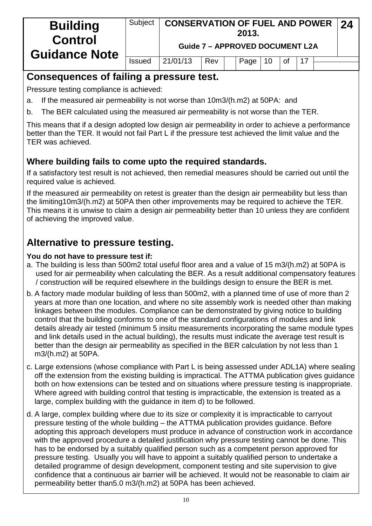| <b>Building</b><br><b>Control</b><br><b>Guidance Note</b> | Subject       | <b>CONSERVATION OF FUEL AND POWER 24</b> |     | 2013.<br><b>Guide 7 - APPROVED DOCUMENT L2A</b> |    |    |     |  |
|-----------------------------------------------------------|---------------|------------------------------------------|-----|-------------------------------------------------|----|----|-----|--|
|                                                           | <b>Issued</b> | 21/01/13                                 | Rev | Page                                            | 10 | 0f | -17 |  |
|                                                           |               |                                          |     |                                                 |    |    |     |  |

## **Consequences of failing a pressure test.**

Pressure testing compliance is achieved:

- a. If the measured air permeability is not worse than 10m3/(h.m2) at 50PA: and
- b. The BER calculated using the measured air permeability is not worse than the TER.

This means that if a design adopted low design air permeability in order to achieve a performance better than the TER. It would not fail Part L if the pressure test achieved the limit value and the TER was achieved.

## **Where building fails to come upto the required standards.**

If a satisfactory test result is not achieved, then remedial measures should be carried out until the required value is achieved.

If the measured air permeability on retest is greater than the design air permeability but less than the limiting10m3/(h.m2) at 50PA then other improvements may be required to achieve the TER. This means it is unwise to claim a design air permeability better than 10 unless they are confident of achieving the improved value.

# **Alternative to pressure testing.**

#### **You do not have to pressure test if:**

- a. The building is less than 500m2 total useful floor area and a value of 15 m3/(h.m2) at 50PA is used for air permeability when calculating the BER. As a result additional compensatory features / construction will be required elsewhere in the buildings design to ensure the BER is met.
- b. A factory made modular building of less than 500m2, with a planned time of use of more than 2 years at more than one location, and where no site assembly work is needed other than making linkages between the modules. Compliance can be demonstrated by giving notice to building control that the building conforms to one of the standard configurations of modules and link details already air tested (minimum 5 insitu measurements incorporating the same module types and link details used in the actual building), the results must indicate the average test result is better than the design air permeability as specified in the BER calculation by not less than 1 m3/(h.m2) at 50PA.
- c. Large extensions (whose compliance with Part L is being assessed under ADL1A) where sealing off the extension from the existing building is impractical. The ATTMA publication gives guidance both on how extensions can be tested and on situations where pressure testing is inappropriate. Where agreed with building control that testing is impracticable, the extension is treated as a large, complex building with the guidance in item d) to be followed.
- d. A large, complex building where due to its size or complexity it is impracticable to carryout pressure testing of the whole building – the ATTMA publication provides guidance. Before adopting this approach developers must produce in advance of construction work in accordance with the approved procedure a detailed justification why pressure testing cannot be done. This has to be endorsed by a suitably qualified person such as a competent person approved for pressure testing. Usually you will have to appoint a suitably qualified person to undertake a detailed programme of design development, component testing and site supervision to give confidence that a continuous air barrier will be achieved. It would not be reasonable to claim air permeability better than5.0 m3/(h.m2) at 50PA has been achieved.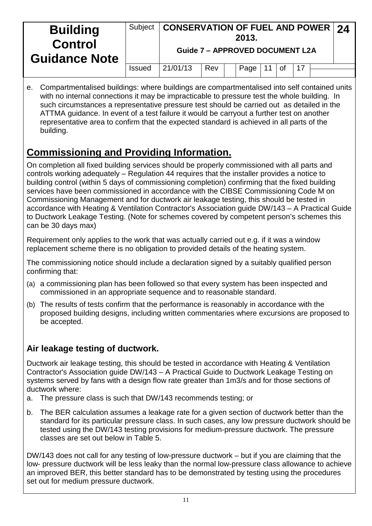| <b>Building</b><br><b>Control</b><br><b>Guidance Note</b> | Subject       |          | <b>CONSERVATION OF FUEL AND POWER 24</b><br>2013.<br><b>Guide 7 - APPROVED DOCUMENT L2A</b> |      |  |           |  |  |  |  |
|-----------------------------------------------------------|---------------|----------|---------------------------------------------------------------------------------------------|------|--|-----------|--|--|--|--|
|                                                           | <b>Issued</b> | 21/01/13 | Rev                                                                                         | Page |  | <b>of</b> |  |  |  |  |
|                                                           |               |          |                                                                                             |      |  |           |  |  |  |  |

e. Compartmentalised buildings: where buildings are compartmentalised into self contained units with no internal connections it may be impracticable to pressure test the whole building. In such circumstances a representative pressure test should be carried out as detailed in the ATTMA guidance. In event of a test failure it would be carryout a further test on another representative area to confirm that the expected standard is achieved in all parts of the building.

# **Commissioning and Providing Information.**

On completion all fixed building services should be properly commissioned with all parts and controls working adequately – Regulation 44 requires that the installer provides a notice to building control (within 5 days of commissioning completion) confirming that the fixed building services have been commissioned in accordance with the CIBSE Commissioning Code M on Commissioning Management and for ductwork air leakage testing, this should be tested in accordance with Heating & Ventilation Contractor's Association guide DW/143 – A Practical Guide to Ductwork Leakage Testing. (Note for schemes covered by competent person's schemes this can be 30 days max)

Requirement only applies to the work that was actually carried out e.g. if it was a window replacement scheme there is no obligation to provided details of the heating system.

The commissioning notice should include a declaration signed by a suitably qualified person confirming that:

- (a) a commissioning plan has been followed so that every system has been inspected and commissioned in an appropriate sequence and to reasonable standard.
- (b) The results of tests confirm that the performance is reasonably in accordance with the proposed building designs, including written commentaries where excursions are proposed to be accepted.

### **Air leakage testing of ductwork.**

Ductwork air leakage testing, this should be tested in accordance with Heating & Ventilation Contractor's Association guide DW/143 – A Practical Guide to Ductwork Leakage Testing on systems served by fans with a design flow rate greater than 1m3/s and for those sections of ductwork where:

- a. The pressure class is such that DW/143 recommends testing; or
- b. The BER calculation assumes a leakage rate for a given section of ductwork better than the standard for its particular pressure class. In such cases, any low pressure ductwork should be tested using the DW/143 testing provisions for medium-pressure ductwork. The pressure classes are set out below in Table 5.

DW/143 does not call for any testing of low-pressure ductwork – but if you are claiming that the low- pressure ductwork will be less leaky than the normal low-pressure class allowance to achieve an improved BER, this better standard has to be demonstrated by testing using the procedures set out for medium pressure ductwork.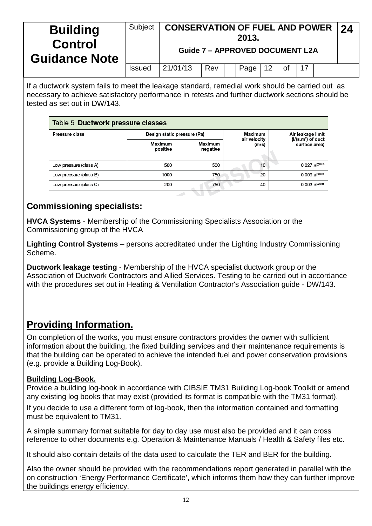| <b>Building</b><br><b>Control</b><br><b>Guidance Note</b> | <b>Subject</b> | <b>CONSERVATION OF FUEL AND POWER</b> |     | 2013.<br><b>Guide 7 - APPROVED DOCUMENT L2A</b> |    |    |  | 24 |
|-----------------------------------------------------------|----------------|---------------------------------------|-----|-------------------------------------------------|----|----|--|----|
|                                                           | <b>Issued</b>  | 21/01/13                              | Rev | Page $\vert$                                    | 12 | 0f |  |    |
|                                                           |                |                                       |     |                                                 |    |    |  |    |

If a ductwork system fails to meet the leakage standard, remedial work should be carried out as necessary to achieve satisfactory performance in retests and further ductwork sections should be tested as set out in DW/143.

| Table 5 Ductwork pressure classes |                             |                            |                       |                                          |  |  |  |  |  |  |  |
|-----------------------------------|-----------------------------|----------------------------|-----------------------|------------------------------------------|--|--|--|--|--|--|--|
| Pressure class                    | Design static pressure (Pa) |                            | Maximum               | Air leakage limit<br>$(I/(s.m2)$ of duct |  |  |  |  |  |  |  |
|                                   | Maximum<br>positive         | <b>Maximum</b><br>negative | air velocity<br>(m/s) | surface area)                            |  |  |  |  |  |  |  |
| Low pressure (class A)            | 500                         | 500                        | 10                    | $0.027$ $\Lambda$ $P^{0.65}$             |  |  |  |  |  |  |  |
| Low pressure (class B)            | 1000                        | 750                        | 20                    | $0.009AP^{0.65}$                         |  |  |  |  |  |  |  |
| Low pressure (class C)            | 200                         | 750                        | 40                    | $0.003 \; \Delta P^{0.65}$               |  |  |  |  |  |  |  |

#### **Commissioning specialists:**

**HVCA Systems** - Membership of the Commissioning Specialists Association or the Commissioning group of the HVCA

**Lighting Control Systems** – persons accreditated under the Lighting Industry Commissioning Scheme.

**Ductwork leakage testing** - Membership of the HVCA specialist ductwork group or the Association of Ductwork Contractors and Allied Services. Testing to be carried out in accordance with the procedures set out in Heating & Ventilation Contractor's Association guide - DW/143.

# **Providing Information.**

On completion of the works, you must ensure contractors provides the owner with sufficient information about the building, the fixed building services and their maintenance requirements is that the building can be operated to achieve the intended fuel and power conservation provisions (e.g. provide a Building Log-Book).

#### **Building Log-Book.**

Provide a building log-book in accordance with CIBSIE TM31 Building Log-book Toolkit or amend any existing log books that may exist (provided its format is compatible with the TM31 format).

If you decide to use a different form of log-book, then the information contained and formatting must be equivalent to TM31.

A simple summary format suitable for day to day use must also be provided and it can cross reference to other documents e.g. Operation & Maintenance Manuals / Health & Safety files etc.

It should also contain details of the data used to calculate the TER and BER for the building.

Also the owner should be provided with the recommendations report generated in parallel with the on construction 'Energy Performance Certificate', which informs them how they can further improve the buildings energy efficiency.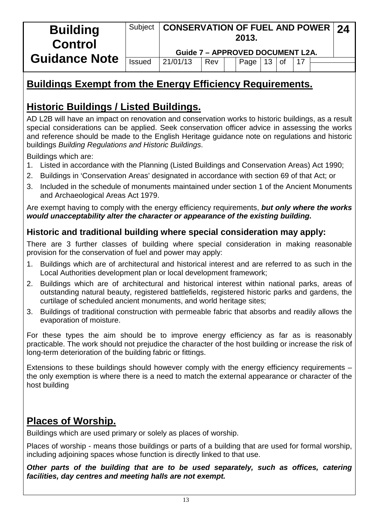| <b>Building</b><br><b>Control</b> | Subject       | CONSERVATION OF FUEL AND POWER $\vert$ 24<br><b>Guide 7 - APPROVED DOCUMENT L2A.</b> |     | 2013. |    |           |  |  |
|-----------------------------------|---------------|--------------------------------------------------------------------------------------|-----|-------|----|-----------|--|--|
| <b>Guidance Note</b>              | <b>Issued</b> | 21/01/13                                                                             |     |       |    |           |  |  |
|                                   |               |                                                                                      | Rev | Page  | 13 | <b>of</b> |  |  |

# **Buildings Exempt from the Energy Efficiency Requirements.**

# **Historic Buildings / Listed Buildings.**

AD L2B will have an impact on renovation and conservation works to historic buildings, as a result special considerations can be applied. Seek conservation officer advice in assessing the works and reference should be made to the English Heritage guidance note on regulations and historic buildings *Building Regulations and Historic Buildings*.

Buildings which are:

- 1. Listed in accordance with the Planning (Listed Buildings and Conservation Areas) Act 1990;
- 2. Buildings in 'Conservation Areas' designated in accordance with section 69 of that Act; or
- 3. Included in the schedule of monuments maintained under section 1 of the Ancient Monuments and Archaeological Areas Act 1979.

Are exempt having to comply with the energy efficiency requirements, *but only where the works would unacceptability alter the character or appearance of the existing building.*

#### **Historic and traditional building where special consideration may apply:**

There are 3 further classes of building where special consideration in making reasonable provision for the conservation of fuel and power may apply:

- 1. Buildings which are of architectural and historical interest and are referred to as such in the Local Authorities development plan or local development framework;
- 2. Buildings which are of architectural and historical interest within national parks, areas of outstanding natural beauty, registered battlefields, registered historic parks and gardens, the curtilage of scheduled ancient monuments, and world heritage sites;
- 3. Buildings of traditional construction with permeable fabric that absorbs and readily allows the evaporation of moisture.

For these types the aim should be to improve energy efficiency as far as is reasonably practicable. The work should not prejudice the character of the host building or increase the risk of long-term deterioration of the building fabric or fittings.

Extensions to these buildings should however comply with the energy efficiency requirements – the only exemption is where there is a need to match the external appearance or character of the host building

# **Places of Worship.**

Buildings which are used primary or solely as places of worship.

Places of worship - means those buildings or parts of a building that are used for formal worship, including adjoining spaces whose function is directly linked to that use.

*Other parts of the building that are to be used separately, such as offices, catering facilities, day centres and meeting halls are not exempt.*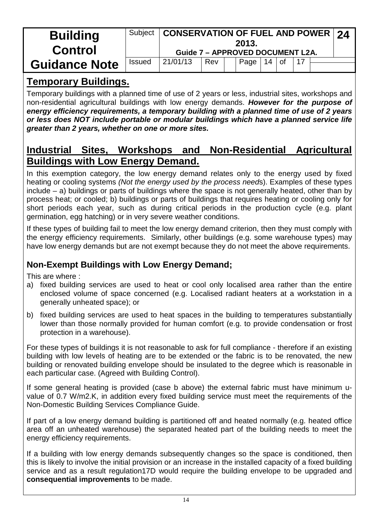| <b>Building</b><br><b>Control</b> | Subject       | <b>CONSERVATION OF FUEL AND POWER 24</b><br><b>Guide 7 - APPROVED DOCUMENT L2A.</b> |     | 2013. |    |    |  |  |
|-----------------------------------|---------------|-------------------------------------------------------------------------------------|-----|-------|----|----|--|--|
| <b>Guidance Note</b>              | <b>Issued</b> | 21/01/13                                                                            | Rev | Page  | 14 | 0f |  |  |

# **Temporary Buildings.**

Temporary buildings with a planned time of use of 2 years or less, industrial sites, workshops and non-residential agricultural buildings with low energy demands. *However for the purpose of energy efficiency requirements, a temporary building with a planned time of use of 2 years or less does NOT include portable or modular buildings which have a planned service life greater than 2 years, whether on one or more sites.*

# **Industrial Sites, Workshops and Non-Residential Agricultural Buildings with Low Energy Demand.**

In this exemption category, the low energy demand relates only to the energy used by fixed heating or cooling systems *(Not the energy used by the process need*s). Examples of these types include – a) buildings or parts of buildings where the space is not generally heated, other than by process heat; or cooled; b) buildings or parts of buildings that requires heating or cooling only for short periods each year, such as during critical periods in the production cycle (e.g. plant germination, egg hatching) or in very severe weather conditions.

If these types of building fail to meet the low energy demand criterion, then they must comply with the energy efficiency requirements. Similarly, other buildings (e.g. some warehouse types) may have low energy demands but are not exempt because they do not meet the above requirements.

### **Non-Exempt Buildings with Low Energy Demand;**

This are where :

- a) fixed building services are used to heat or cool only localised area rather than the entire enclosed volume of space concerned (e.g. Localised radiant heaters at a workstation in a generally unheated space); or
- b) fixed building services are used to heat spaces in the building to temperatures substantially lower than those normally provided for human comfort (e.g. to provide condensation or frost protection in a warehouse).

For these types of buildings it is not reasonable to ask for full compliance - therefore if an existing building with low levels of heating are to be extended or the fabric is to be renovated, the new building or renovated building envelope should be insulated to the degree which is reasonable in each particular case. (Agreed with Building Control).

If some general heating is provided (case b above) the external fabric must have minimum uvalue of 0.7 W/m2.K, in addition every fixed building service must meet the requirements of the Non-Domestic Building Services Compliance Guide.

If part of a low energy demand building is partitioned off and heated normally (e.g. heated office area off an unheated warehouse) the separated heated part of the building needs to meet the energy efficiency requirements.

If a building with low energy demands subsequently changes so the space is conditioned, then this is likely to involve the initial provision or an increase in the installed capacity of a fixed building service and as a result regulation17D would require the building envelope to be upgraded and **consequential improvements** to be made.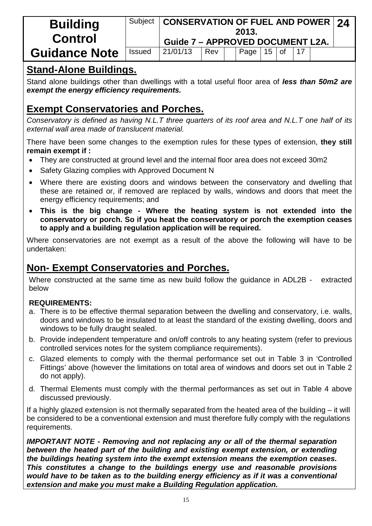| <b>Building</b><br><b>Control</b> | Subject       | CONSERVATION OF FUEL AND POWER 24<br><b>Guide 7 - APPROVED DOCUMENT L2A.</b> |     | 2013.          |  |  |  |
|-----------------------------------|---------------|------------------------------------------------------------------------------|-----|----------------|--|--|--|
| <b>Guidance Note</b>              | <b>Issued</b> | 21/01/13                                                                     | Rev | Page   15   of |  |  |  |

# **Stand-Alone Buildings.**

Stand alone buildings other than dwellings with a total useful floor area of *less than 50m2 are exempt the energy efficiency requirements.*

# **Exempt Conservatories and Porches.**

*Conservatory is defined as having N.L.T three quarters of its roof area and N.L.T one half of its external wall area made of translucent material.*

There have been some changes to the exemption rules for these types of extension, **they still remain exempt if :**

- They are constructed at ground level and the internal floor area does not exceed 30m2
- Safety Glazing complies with Approved Document N
- Where there are existing doors and windows between the conservatory and dwelling that these are retained or, if removed are replaced by walls, windows and doors that meet the energy efficiency requirements; and
- **This is the big change - Where the heating system is not extended into the conservatory or porch. So if you heat the conservatory or porch the exemption ceases to apply and a building regulation application will be required.**

Where conservatories are not exempt as a result of the above the following will have to be undertaken:

# **Non- Exempt Conservatories and Porches.**

Where constructed at the same time as new build follow the quidance in ADL2B - extracted below

#### **REQUIREMENTS:**

- a. There is to be effective thermal separation between the dwelling and conservatory, i.e. walls, doors and windows to be insulated to at least the standard of the existing dwelling, doors and windows to be fully draught sealed.
- b. Provide independent temperature and on/off controls to any heating system (refer to previous controlled services notes for the system compliance requirements).
- c. Glazed elements to comply with the thermal performance set out in Table 3 in 'Controlled Fittings' above (however the limitations on total area of windows and doors set out in Table 2 do not apply).
- d. Thermal Elements must comply with the thermal performances as set out in Table 4 above discussed previously.

If a highly glazed extension is not thermally separated from the heated area of the building – it will be considered to be a conventional extension and must therefore fully comply with the regulations requirements.

*IMPORTANT NOTE - Removing and not replacing any or all of the thermal separation between the heated part of the building and existing exempt extension, or extending the buildings heating system into the exempt extension means the exemption ceases. This constitutes a change to the buildings energy use and reasonable provisions would have to be taken as to the building energy efficiency as if it was a conventional extension and make you must make a Building Regulation application.*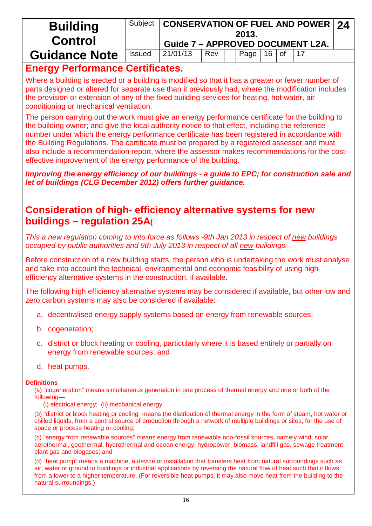| <b>Building</b><br><b>Control</b> | Subject       | <b>CONSERVATION OF FUEL AND POWER 24</b><br><b>Guide 7 - APPROVED DOCUMENT L2A.</b> |     | 2013. |         |  |  |
|-----------------------------------|---------------|-------------------------------------------------------------------------------------|-----|-------|---------|--|--|
| <b>Guidance Note</b>              | <b>Issued</b> | 21/01/13                                                                            | Rev | Page  | $16$ of |  |  |

# **Energy Performance Certificates.**

Where a building is erected or a building is modified so that it has a greater or fewer number of parts designed or altered for separate use than it previously had, where the modification includes the provision or extension of any of the fixed building services for heating, hot water, air conditioning or mechanical ventilation.

The person carrying out the work must give an energy performance certificate for the building to the building owner; and give the local authority notice to that effect, including the reference number under which the energy performance certificate has been registered in accordance with the Building Regulations. The certificate must be prepared by a registered assessor and must also include a recommendation report, where the assessor makes recommendations for the costeffective improvement of the energy performance of the building.

*Improving the energy efficiency of our buildings - a guide to EPC; for construction sale and let of buildings (CLG December 2012) offers further guidance.*

## **Consideration of high- efficiency alternative systems for new buildings – regulation 25A(**

*This a new regulation coming to into force as follows -9th Jan 2013 in respect of new buildings occupied by public authorities and 9th July 2013 in respect of all new buildings.*

Before construction of a new building starts, the person who is undertaking the work must analyse and take into account the technical, environmental and economic feasibility of using highefficiency alternative systems in the construction, if available.

The following high efficiency alternative systems may be considered if available, but other low and zero carbon systems may also be considered if available:

- a. decentralised energy supply systems based on energy from renewable sources;
- b. cogeneration;
- c. district or block heating or cooling, particularly where it is based entirely or partially on energy from renewable sources; and
- d. heat pumps.

#### **Definitions**

(a) "cogeneration" means simultaneous generation in one process of thermal energy and one or both of the following—

(i) electrical energy; (ii) mechanical energy;

(b) "district or block heating or cooling" means the distribution of thermal energy in the form of steam, hot water or chilled liquids, from a central source of production through a network of multiple buildings or sites, for the use of space or process heating or cooling;

(c) "energy from renewable sources" means energy from renewable non-fossil sources, namely wind, solar, aerothermal, geothermal, hydrothermal and ocean energy, hydropower, biomass, landfill gas, sewage treatment plant gas and biogases; and

(d) "heat pump" means a machine, a device or installation that transfers heat from natural surroundings such as air, water or ground to buildings or industrial applications by reversing the natural flow of heat such that it flows from a lower to a higher temperature. (For reversible heat pumps, it may also move heat from the building to the natural surroundings.)